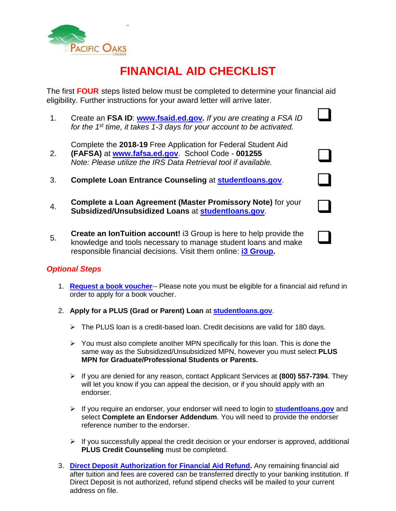

# **FINANCIAL AID CHECKLIST**

 $\Box$ 

 $\Box$ 

 $\Box$ 

The first **FOUR** steps listed below must be completed to determine your financial aid eligibility. Further instructions for your award letter will arrive later.

1. Create an **FSA ID**: **[www.fsaid.ed.gov.](https://fsaid.ed.gov/npas/index.htm)** *If you are creating a FSA ID for the 1st time, it takes 1-3 days for your account to be activated.*

Complete the **2018-19** Free Application for Federal Student Aid

- 2. **(FAFSA)** at **[www.fafsa.ed.gov](http://www.fafsa.ed.gov/)**. School Code - **001255** *Note: Please utilize the IRS Data Retrieval tool if available.*
- 3. **Complete Loan Entrance Counseling** at **[studentloans.gov](https://studentloans.gov/)**.
- 4. **Complete a Loan Agreement (Master Promissory Note)** for your **Subsidized/Unsubsidized Loans** at **[studentloans.gov](https://studentloans.gov/)**.
- 5. **Create an IonTuition account!** i3 Group is here to help provide the knowledge and tools necessary to manage student loans and make responsible financial decisions. Visit them online: **[i3 Group.](http://r20.rs6.net/tn.jsp?f=001s_EdcKKUK9Z7P6fz2ZmhzYSbWxWjFDMYGMgqt7IfjRQ-RQrkBzwqa1_y_TGavFdRT2TkIdeH9RfqRui7AO8wSavYZeBM4O3HTjzASE4hTOnpIIeyxVyIvpBU3SnPH4usI5VscfrMyvqB2LZBeeq4FA==&c=RfurKFz_F1PZTLrd3VTgADz8MkFsbGxQmJUN2pUW3uK8x7I795f_XQ==&ch=EDHYZx7Po_FozGNmwn3TrKVfjO5p9dI-FwIWNQG6IjRZ5_fVXyCRQA==)**

### *Optional Steps*

- 1. **[Request a book voucher](https://www.pacificoaks.edu/admissions/cost-financial-aid/apply-financial-aid/)**-- Please note you must be eligible for a financial aid refund in order to apply for a book voucher.
- 2. **Apply for a PLUS (Grad or Parent) Loan** at **[studentloans.gov](https://studentloans.gov/)**.
	- $\triangleright$  The PLUS loan is a credit-based loan. Credit decisions are valid for 180 days.
	- $\triangleright$  You must also complete another MPN specifically for this loan. This is done the same way as the Subsidized/Unsubsidized MPN, however you must select **PLUS MPN for Graduate/Professional Students or Parents.**
	- If you are denied for any reason, contact Applicant Services at **(800) 557-7394**. They will let you know if you can appeal the decision, or if you should apply with an endorser.
	- If you require an endorser, your endorser will need to login to **[studentloans.gov](https://studentloans.gov/)** and select **Complete an Endorser Addendum**. You will need to provide the endorser reference number to the endorser.
	- $\triangleright$  If you successfully appeal the credit decision or your endorser is approved, additional **PLUS Credit Counseling** must be completed.
- 3. **[Direct Deposit Authorization for Financial Aid Refund.](https://www.pacificoaks.edu/admissions/cost-financial-aid/apply-financial-aid/)** Any remaining financial aid after tuition and fees are covered can be transferred directly to your banking institution. If Direct Deposit is not authorized, refund stipend checks will be mailed to your current address on file.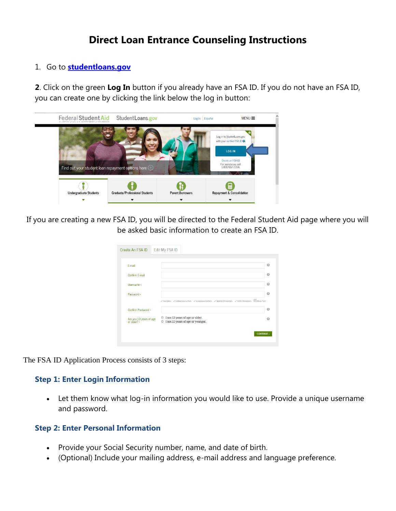## **Direct Loan Entrance Counseling Instructions**

#### 1. Go to **[studentloans.gov](https://studentloans.gov/)**

**2**. Click on the green **Log In** button if you already have an FSA ID. If you do not have an FSA ID, you can create one by clicking the link below the log in button:



If you are creating a new FSA ID, you will be directed to the Federal Student Aid page where you will be asked basic information to create an FSA ID.

| Create An FSA ID                       | <b>Edit My FSA ID</b>                                                                              |   |
|----------------------------------------|----------------------------------------------------------------------------------------------------|---|
|                                        |                                                                                                    |   |
| E-mail                                 |                                                                                                    | 0 |
| Confirm F-mail                         |                                                                                                    | Q |
| Username *                             |                                                                                                    | 0 |
| Password •                             |                                                                                                    | 0 |
|                                        | V Numbers V Uppercase Letters V Lowercase Letters V Special Characters V 8-30 Characters Show Text |   |
| Confirm Password *                     |                                                                                                    | 0 |
| Are you 13 years of age<br>or older? * | I am 13 years of age or older.<br>◉<br>I am 12 years of age or younger.<br>◉                       |   |
|                                        | <b>CONTINUE</b>                                                                                    |   |
|                                        |                                                                                                    |   |

The FSA ID Application Process consists of 3 steps:

### **Step 1: Enter Login Information**

 Let them know what log-in information you would like to use. Provide a unique username and password.

#### **Step 2: Enter Personal Information**

- Provide your Social Security number, name, and date of birth.
- (Optional) Include your mailing address, e-mail address and language preference.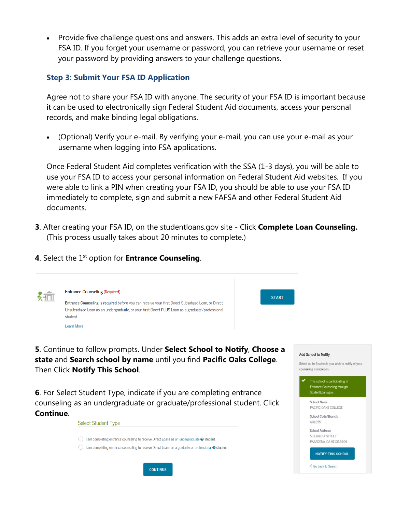Provide five challenge questions and answers. This adds an extra level of security to your FSA ID. If you forget your username or password, you can retrieve your username or reset your password by providing answers to your challenge questions.

#### **Step 3: Submit Your FSA ID Application**

Agree not to share your FSA ID with anyone. The security of your FSA ID is important because it can be used to electronically sign Federal Student Aid documents, access your personal records, and make binding legal obligations.

 (Optional) Verify your e-mail. By verifying your e-mail, you can use your e-mail as your username when logging into FSA applications.

Once Federal Student Aid completes verification with the SSA (1-3 days), you will be able to use your FSA ID to access your personal information on Federal Student Aid websites. If you were able to link a PIN when creating your FSA ID, you should be able to use your FSA ID immediately to complete, sign and submit a new FAFSA and other Federal Student Aid documents.

- **3**. After creating your FSA ID, on the studentloans.gov site Click **Complete Loan Counseling.** (This process usually takes about 20 minutes to complete.)
- **4**. Select the 1<sup>st</sup> option for **Entrance Counseling**.

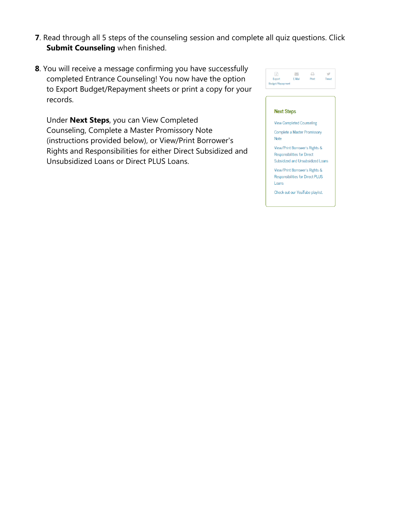- **7**. Read through all 5 steps of the counseling session and complete all quiz questions. Click **Submit Counseling** when finished.
- **8**. You will receive a message confirming you have successfully completed Entrance Counseling! You now have the option to Export Budget/Repayment sheets or print a copy for your records.

Under **Next Steps**, you can View Completed Counseling, Complete a Master Promissory Note (instructions provided below), or View/Print Borrower's Rights and Responsibilities for either Direct Subsidized and Unsubsidized Loans or Direct PLUS Loans.



#### **Next Steps**

**View Completed Counseling** 

Complete a Master Promissory **Note** 

View/Print Borrower's Rights & **Responsibilities for Direct** Subsidized and Unsubsidized Loans

View/Print Borrower's Rights & Responsibilities for Direct PLUS

Loans Check out our YouTube playlist.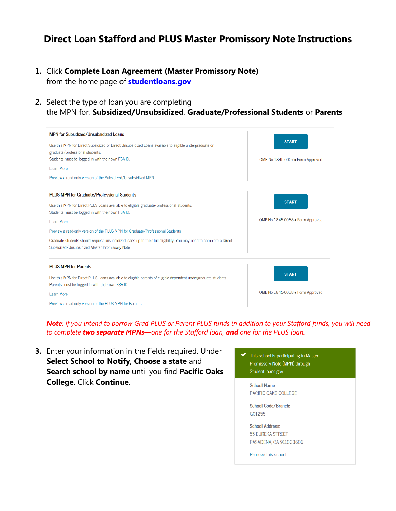## **Direct Loan Stafford and PLUS Master Promissory Note Instructions**

- **1.** Click **Complete Loan Agreement (Master Promissory Note)** from the home page of **[studentloans.gov](https://studentloans.gov/)**
- **2.** Select the type of loan you are completing the MPN for, **Subsidized/Unsubsidized**, **Graduate/Professional Students** or **Parents**

| MPN for Subsidized/Unsubsidized Loans<br>Use this MPN for Direct Subsidized or Direct Unsubsidized Loans available to eligible undergraduate or<br>graduate/professional students.<br>Students must be logged in with their own FSA ID.<br>Learn More<br>Preview a read-only version of the Subsidized/Unsubsidized MPN                                                                                                                                                       | <b>START</b><br>OMB No. 1845-0007 · Form Approved |
|-------------------------------------------------------------------------------------------------------------------------------------------------------------------------------------------------------------------------------------------------------------------------------------------------------------------------------------------------------------------------------------------------------------------------------------------------------------------------------|---------------------------------------------------|
| PLUS MPN for Graduate/Professional Students<br>Use this MPN for Direct PLUS Loans available to eligible graduate/professional students.<br>Students must be logged in with their own FSA ID.<br><b>Learn More</b><br>Preview a read-only version of the PLUS MPN for Graduate/Professional Students<br>Graduate students should request unsubsidized loans up to their full eligibility. You may need to complete a Direct<br>Subsidized/Unsubsidized Master Promissory Note. | <b>START</b><br>OMB No. 1845-0068 . Form Approved |
| <b>PLUS MPN for Parents</b><br>Use this MPN for Direct PLUS Loans available to eligible parents of eligible dependent undergraduate students.<br>Parents must be logged in with their own FSA ID.<br>Learn More<br>Preview a read-only version of the PLUS MPN for Parents                                                                                                                                                                                                    | <b>START</b><br>OMB No. 1845-0068 . Form Approved |

*Note: If you intend to borrow Grad PLUS or Parent PLUS funds in addition to your Stafford funds, you will need to complete two separate MPNs—one for the Stafford loan, and one for the PLUS loan.*

**3.** Enter your information in the fields required. Under **Select School to Notify**, **Choose a state** and **Search school by name** until you find **Pacific Oaks College**. Click **Continue**.

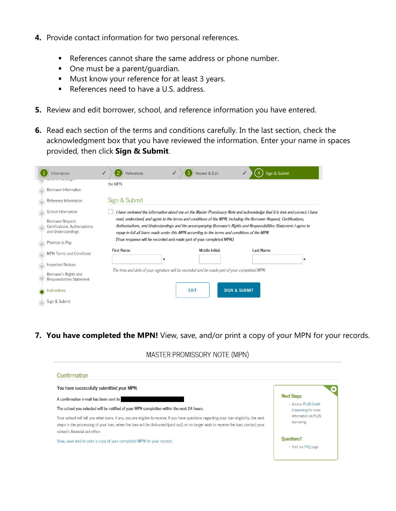- **4.** Provide contact information for two personal references.
	- References cannot share the same address or phone number.
	- One must be a parent/quardian.
	- Must know your reference for at least 3 years.
	- References need to have a U.S. address.
- **5.** Review and edit borrower, school, and reference information you have entered.
- **6.** Read each section of the terms and conditions carefully. In the last section, check the acknowledgment box that you have reviewed the information. Enter your name in spaces provided, then click **Sign & Submit**.

| Information                                                                | References              | Review & Edit<br>З                                                                            | Sign & Submit                                                                                                                                                                                                                               |
|----------------------------------------------------------------------------|-------------------------|-----------------------------------------------------------------------------------------------|---------------------------------------------------------------------------------------------------------------------------------------------------------------------------------------------------------------------------------------------|
| <b>Borrower Information</b>                                                | the MPN.                |                                                                                               |                                                                                                                                                                                                                                             |
| Reference Information                                                      | Sign & Submit           |                                                                                               |                                                                                                                                                                                                                                             |
| School Information                                                         |                         |                                                                                               | I have reviewed the information about me on the Master Promissory Note and acknowledge that it is true and correct. I have                                                                                                                  |
| Borrower Request,<br>Certifications, Authorizations,<br>and Understandings |                         | repay in full all loans made under this MPN according to the terms and conditions of the MPN. | read, understand, and agree to the terms and conditions of the MPN, including the Borrower Request, Certifications,<br>Authorizations, and Understandings and the accompanying Borrower's Rights and Responsibilities Statement. I agree to |
| Promise to Pay                                                             |                         | (Your response will be recorded and made part of your completed MPN.)                         |                                                                                                                                                                                                                                             |
| <b>MPN Terms and Conditions</b>                                            | <b>First Name:</b><br>* | Middle Initial:                                                                               | <b>Last Name:</b><br>*                                                                                                                                                                                                                      |
| <b>Important Notices</b>                                                   |                         |                                                                                               |                                                                                                                                                                                                                                             |
| Borrower's Rights and<br><b>Responsibilities Statement</b>                 |                         | The time and date of your signature will be recorded and be made part of your completed MPN.  |                                                                                                                                                                                                                                             |
| <b>Instructions</b>                                                        |                         | <b>EXIT</b>                                                                                   | <b>SIGN &amp; SUBMIT</b>                                                                                                                                                                                                                    |
| Sign & Submit                                                              |                         |                                                                                               |                                                                                                                                                                                                                                             |

**7. You have completed the MPN!** View, save, and/or print a copy of your MPN for your records.

MASTER PROMISSORY NOTE (MPN)

| You have successfully submitted your MPN.                                                                                                                                                                                                                                                                             |                                             |  |  |
|-----------------------------------------------------------------------------------------------------------------------------------------------------------------------------------------------------------------------------------------------------------------------------------------------------------------------|---------------------------------------------|--|--|
| A confirmation e-mail has been sent to                                                                                                                                                                                                                                                                                | <b>Next Steps</b>                           |  |  |
| The school you selected will be notified of your MPN completion within the next 24 hours.                                                                                                                                                                                                                             | · Access PLUS Credit<br>Counseling for more |  |  |
| Your school will tell you what loans, if any, you are eligible to receive. If you have questions regarding your loan eligibility, the next<br>steps in the processing of your loan, when the loan will be disbursed (paid out), or no longer wish to receive the loan, contact your<br>school's financial aid office. | information on PLUS<br>borrowing.           |  |  |
| View, save and/or print a copy of your completed MPN for your records.                                                                                                                                                                                                                                                | <b>Ouestions?</b><br>• Visit our FAO page   |  |  |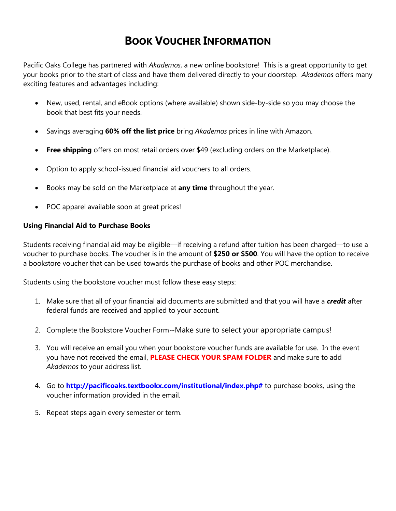## **BOOK VOUCHER INFORMATION**

Pacific Oaks College has partnered with *Akademos*, a new online bookstore! This is a great opportunity to get your books prior to the start of class and have them delivered directly to your doorstep. *Akademos* offers many exciting features and advantages including:

- New, used, rental, and eBook options (where available) shown side-by-side so you may choose the book that best fits your needs.
- Savings averaging **60% off the list price** bring *Akademos* prices in line with Amazon.
- **Free shipping** offers on most retail orders over \$49 (excluding orders on the Marketplace).
- Option to apply school-issued financial aid vouchers to all orders.
- Books may be sold on the Marketplace at **any time** throughout the year.
- POC apparel available soon at great prices!

#### **Using Financial Aid to Purchase Books**

Students receiving financial aid may be eligible—if receiving a refund after tuition has been charged—to use a voucher to purchase books. The voucher is in the amount of **\$250 or \$500**. You will have the option to receive a bookstore voucher that can be used towards the purchase of books and other POC merchandise.

Students using the bookstore voucher must follow these easy steps:

- 1. Make sure that all of your financial aid documents are submitted and that you will have a *credit* after federal funds are received and applied to your account.
- 2. Complete the Bookstore Voucher Form--Make sure to select your appropriate campus!
- 3. You will receive an email you when your bookstore voucher funds are available for use. In the event you have not received the email, **PLEASE CHECK YOUR SPAM FOLDER** and make sure to add *Akademos* to your address list.
- 4. Go to **[http://pacificoaks.textbookx.com/institutional/index.php#](http://pacificoaks.textbookx.com/institutional/index.php)** to purchase books, using the voucher information provided in the email.
- 5. Repeat steps again every semester or term.